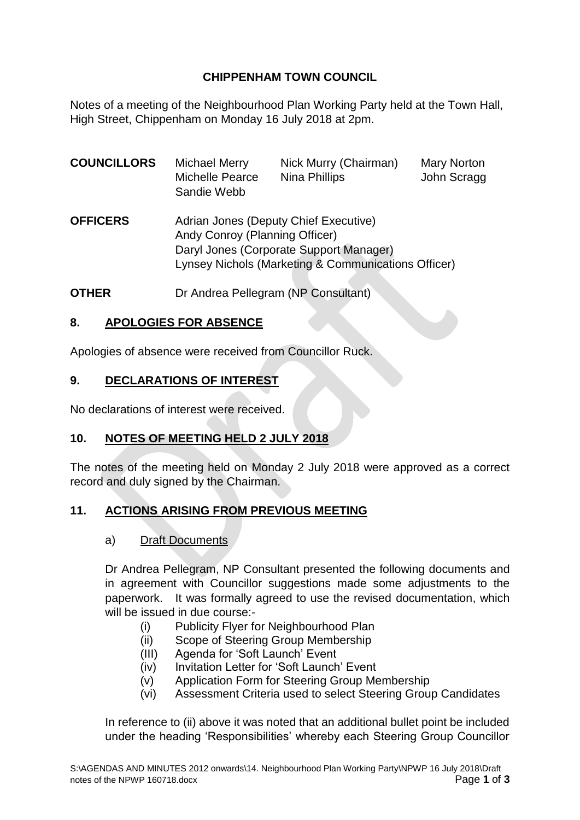# **CHIPPENHAM TOWN COUNCIL**

Notes of a meeting of the Neighbourhood Plan Working Party held at the Town Hall, High Street, Chippenham on Monday 16 July 2018 at 2pm.

| <b>COUNCILLORS</b> | <b>Michael Merry</b><br><b>Michelle Pearce</b><br>Sandie Webb                                                                                                             | Nick Murry (Chairman)<br><b>Nina Phillips</b> | <b>Mary Norton</b><br>John Scragg |
|--------------------|---------------------------------------------------------------------------------------------------------------------------------------------------------------------------|-----------------------------------------------|-----------------------------------|
| <b>OFFICERS</b>    | Adrian Jones (Deputy Chief Executive)<br>Andy Conroy (Planning Officer)<br>Daryl Jones (Corporate Support Manager)<br>Lynsey Nichols (Marketing & Communications Officer) |                                               |                                   |

**OTHER** Dr Andrea Pellegram (NP Consultant)

## **8. APOLOGIES FOR ABSENCE**

Apologies of absence were received from Councillor Ruck.

#### **9. DECLARATIONS OF INTEREST**

No declarations of interest were received.

#### **10. NOTES OF MEETING HELD 2 JULY 2018**

The notes of the meeting held on Monday 2 July 2018 were approved as a correct record and duly signed by the Chairman.

#### **11. ACTIONS ARISING FROM PREVIOUS MEETING**

#### a) Draft Documents

Dr Andrea Pellegram, NP Consultant presented the following documents and in agreement with Councillor suggestions made some adjustments to the paperwork. It was formally agreed to use the revised documentation, which will be issued in due course:-

- (i) Publicity Flyer for Neighbourhood Plan
- (ii) Scope of Steering Group Membership
- (III) Agenda for 'Soft Launch' Event
- (iv) Invitation Letter for 'Soft Launch' Event
- (v) Application Form for Steering Group Membership
- (vi) Assessment Criteria used to select Steering Group Candidates

In reference to (ii) above it was noted that an additional bullet point be included under the heading 'Responsibilities' whereby each Steering Group Councillor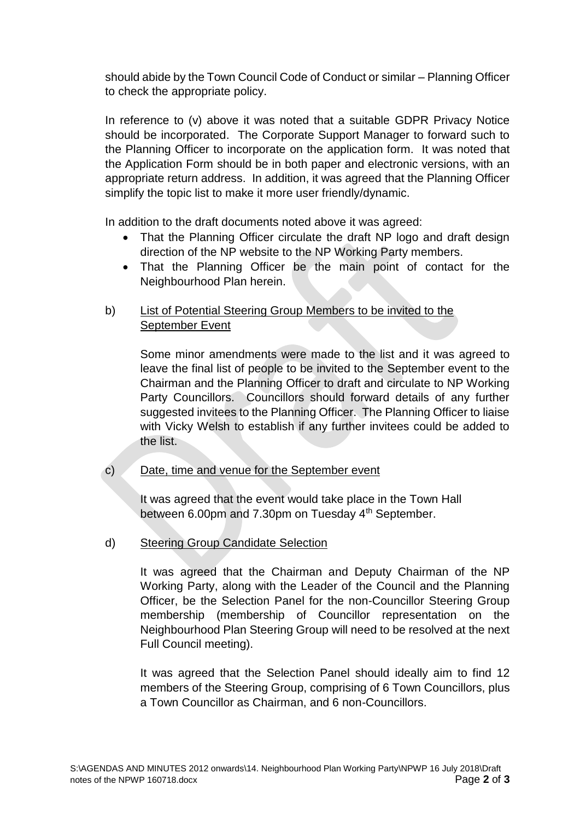should abide by the Town Council Code of Conduct or similar – Planning Officer to check the appropriate policy.

In reference to (v) above it was noted that a suitable GDPR Privacy Notice should be incorporated. The Corporate Support Manager to forward such to the Planning Officer to incorporate on the application form. It was noted that the Application Form should be in both paper and electronic versions, with an appropriate return address. In addition, it was agreed that the Planning Officer simplify the topic list to make it more user friendly/dynamic.

In addition to the draft documents noted above it was agreed:

- That the Planning Officer circulate the draft NP logo and draft design direction of the NP website to the NP Working Party members.
- That the Planning Officer be the main point of contact for the Neighbourhood Plan herein.

### b) List of Potential Steering Group Members to be invited to the September Event

Some minor amendments were made to the list and it was agreed to leave the final list of people to be invited to the September event to the Chairman and the Planning Officer to draft and circulate to NP Working Party Councillors. Councillors should forward details of any further suggested invitees to the Planning Officer. The Planning Officer to liaise with Vicky Welsh to establish if any further invitees could be added to the list.

c) Date, time and venue for the September event

It was agreed that the event would take place in the Town Hall between 6.00pm and 7.30pm on Tuesday 4th September.

d) Steering Group Candidate Selection

It was agreed that the Chairman and Deputy Chairman of the NP Working Party, along with the Leader of the Council and the Planning Officer, be the Selection Panel for the non-Councillor Steering Group membership (membership of Councillor representation on the Neighbourhood Plan Steering Group will need to be resolved at the next Full Council meeting).

It was agreed that the Selection Panel should ideally aim to find 12 members of the Steering Group, comprising of 6 Town Councillors, plus a Town Councillor as Chairman, and 6 non-Councillors.